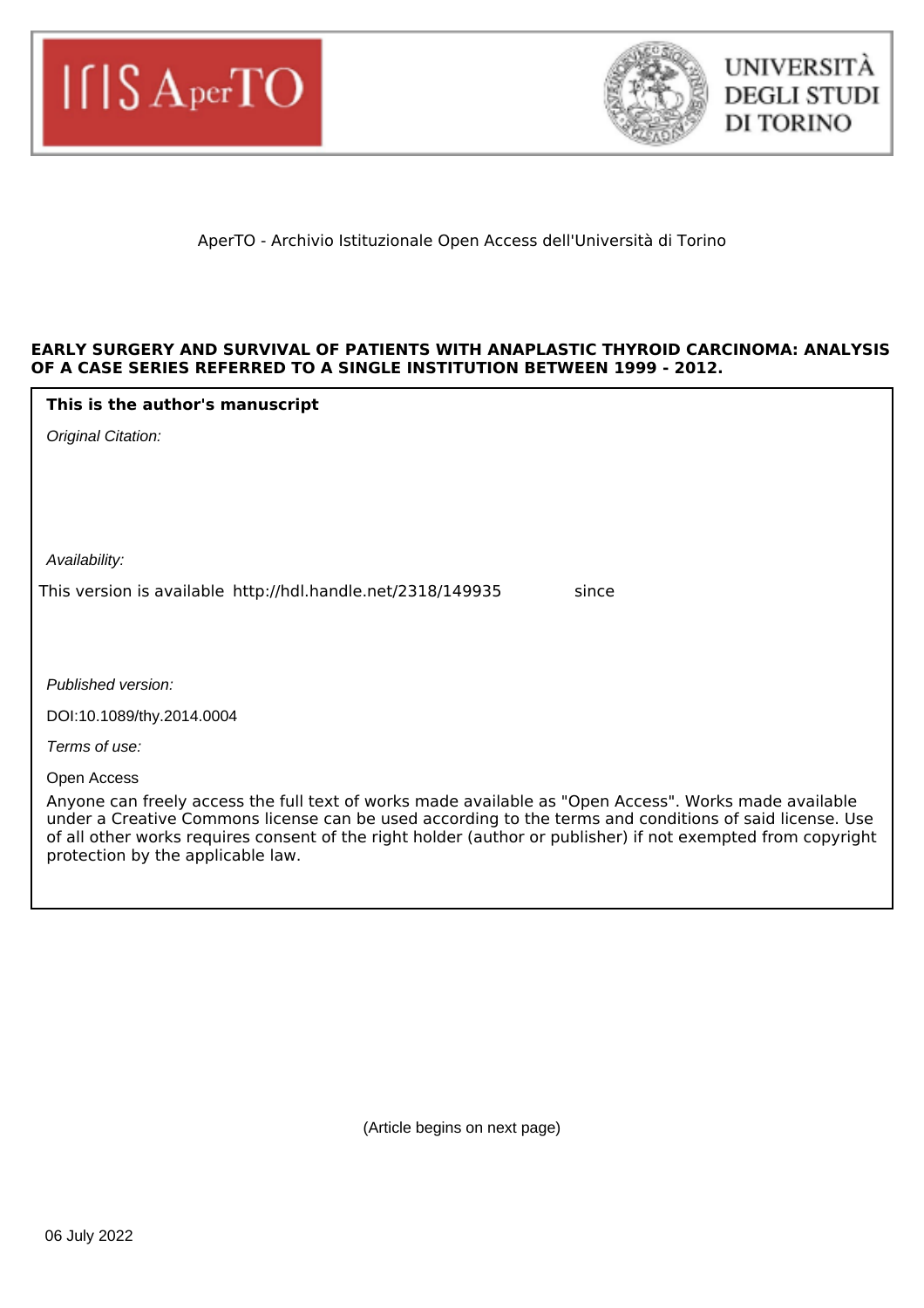



# AperTO - Archivio Istituzionale Open Access dell'Università di Torino

## **EARLY SURGERY AND SURVIVAL OF PATIENTS WITH ANAPLASTIC THYROID CARCINOMA: ANALYSIS OF A CASE SERIES REFERRED TO A SINGLE INSTITUTION BETWEEN 1999 - 2012.**

## **This is the author's manuscript**

Availability:

This version is available http://hdl.handle.net/2318/149935 since

Published version:

DOI:10.1089/thy.2014.0004

Terms of use:

Open Access

Anyone can freely access the full text of works made available as "Open Access". Works made available under a Creative Commons license can be used according to the terms and conditions of said license. Use of all other works requires consent of the right holder (author or publisher) if not exempted from copyright protection by the applicable law.

(Article begins on next page)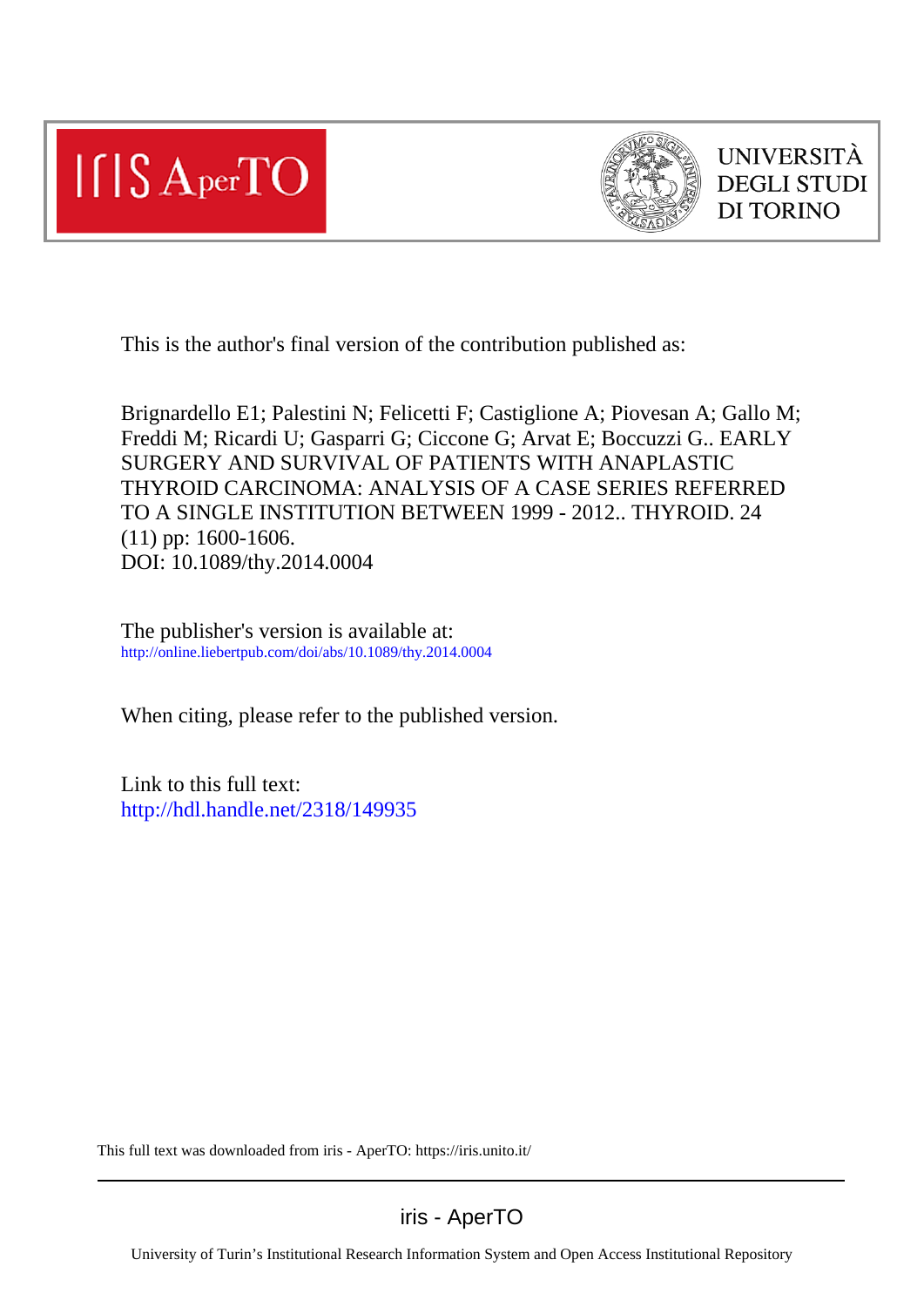



This is the author's final version of the contribution published as:

Brignardello E1; Palestini N; Felicetti F; Castiglione A; Piovesan A; Gallo M; Freddi M; Ricardi U; Gasparri G; Ciccone G; Arvat E; Boccuzzi G.. EARLY SURGERY AND SURVIVAL OF PATIENTS WITH ANAPLASTIC THYROID CARCINOMA: ANALYSIS OF A CASE SERIES REFERRED TO A SINGLE INSTITUTION BETWEEN 1999 - 2012.. THYROID. 24 (11) pp: 1600-1606. DOI: 10.1089/thy.2014.0004

The publisher's version is available at: http://online.liebertpub.com/doi/abs/10.1089/thy.2014.0004

When citing, please refer to the published version.

Link to this full text: http://hdl.handle.net/2318/149935

This full text was downloaded from iris - AperTO: https://iris.unito.it/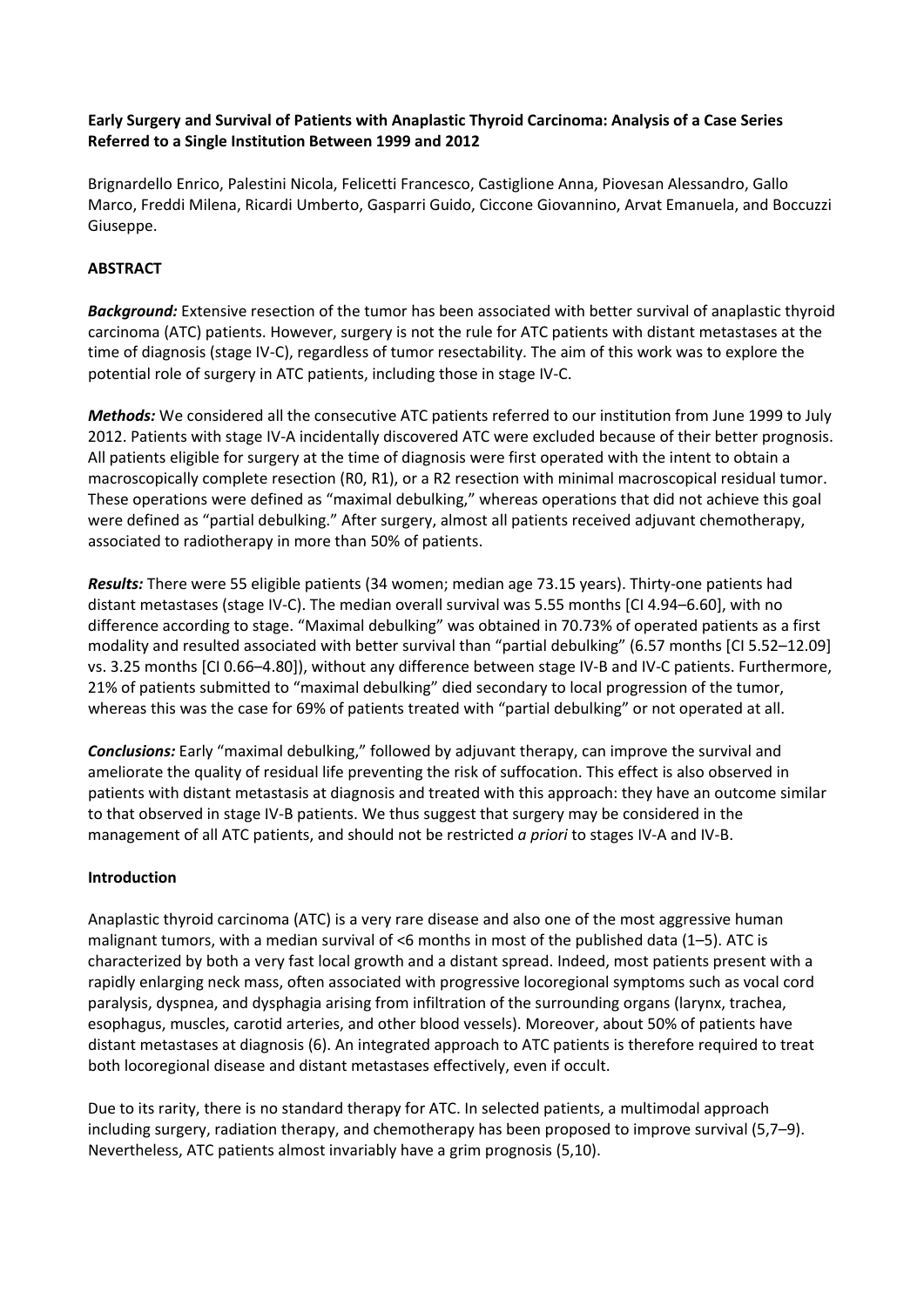## **Early Surgery and Survival of Patients with Anaplastic Thyroid Carcinoma: Analysis of a Case Series Referred to a Single Institution Between 1999 and 2012**

Brignardello Enrico, Palestini Nicola, Felicetti Francesco, Castiglione Anna, Piovesan Alessandro, Gallo Marco, Freddi Milena, Ricardi Umberto, Gasparri Guido, Ciccone Giovannino, Arvat Emanuela, and Boccuzzi Giuseppe.

# **ABSTRACT**

*Background:* Extensive resection of the tumor has been associated with better survival of anaplastic thyroid carcinoma (ATC) patients. However, surgery is not the rule for ATC patients with distant metastases at the time of diagnosis (stage IV‐C), regardless of tumor resectability. The aim of this work was to explore the potential role of surgery in ATC patients, including those in stage IV‐C.

*Methods:* We considered all the consecutive ATC patients referred to our institution from June 1999 to July 2012. Patients with stage IV‐A incidentally discovered ATC were excluded because of their better prognosis. All patients eligible for surgery at the time of diagnosis were first operated with the intent to obtain a macroscopically complete resection (R0, R1), or a R2 resection with minimal macroscopical residual tumor. These operations were defined as "maximal debulking," whereas operations that did not achieve this goal were defined as "partial debulking." After surgery, almost all patients received adjuvant chemotherapy, associated to radiotherapy in more than 50% of patients.

*Results:* There were 55 eligible patients (34 women; median age 73.15 years). Thirty‐one patients had distant metastases (stage IV‐C). The median overall survival was 5.55 months [CI 4.94–6.60], with no difference according to stage. "Maximal debulking" was obtained in 70.73% of operated patients as a first modality and resulted associated with better survival than "partial debulking" (6.57 months [CI 5.52–12.09] vs. 3.25 months [CI 0.66–4.80]), without any difference between stage IV‐B and IV‐C patients. Furthermore, 21% of patients submitted to "maximal debulking" died secondary to local progression of the tumor, whereas this was the case for 69% of patients treated with "partial debulking" or not operated at all.

*Conclusions:* Early "maximal debulking," followed by adjuvant therapy, can improve the survival and ameliorate the quality of residual life preventing the risk of suffocation. This effect is also observed in patients with distant metastasis at diagnosis and treated with this approach: they have an outcome similar to that observed in stage IV-B patients. We thus suggest that surgery may be considered in the management of all ATC patients, and should not be restricted *a priori* to stages IV‐A and IV‐B.

# **Introduction**

Anaplastic thyroid carcinoma (ATC) is a very rare disease and also one of the most aggressive human malignant tumors, with a median survival of <6 months in most of the published data (1–5). ATC is characterized by both a very fast local growth and a distant spread. Indeed, most patients present with a rapidly enlarging neck mass, often associated with progressive locoregional symptoms such as vocal cord paralysis, dyspnea, and dysphagia arising from infiltration of the surrounding organs (larynx, trachea, esophagus, muscles, carotid arteries, and other blood vessels). Moreover, about 50% of patients have distant metastases at diagnosis (6). An integrated approach to ATC patients is therefore required to treat both locoregional disease and distant metastases effectively, even if occult.

Due to its rarity, there is no standard therapy for ATC. In selected patients, a multimodal approach including surgery, radiation therapy, and chemotherapy has been proposed to improve survival (5,7–9). Nevertheless, ATC patients almost invariably have a grim prognosis (5,10).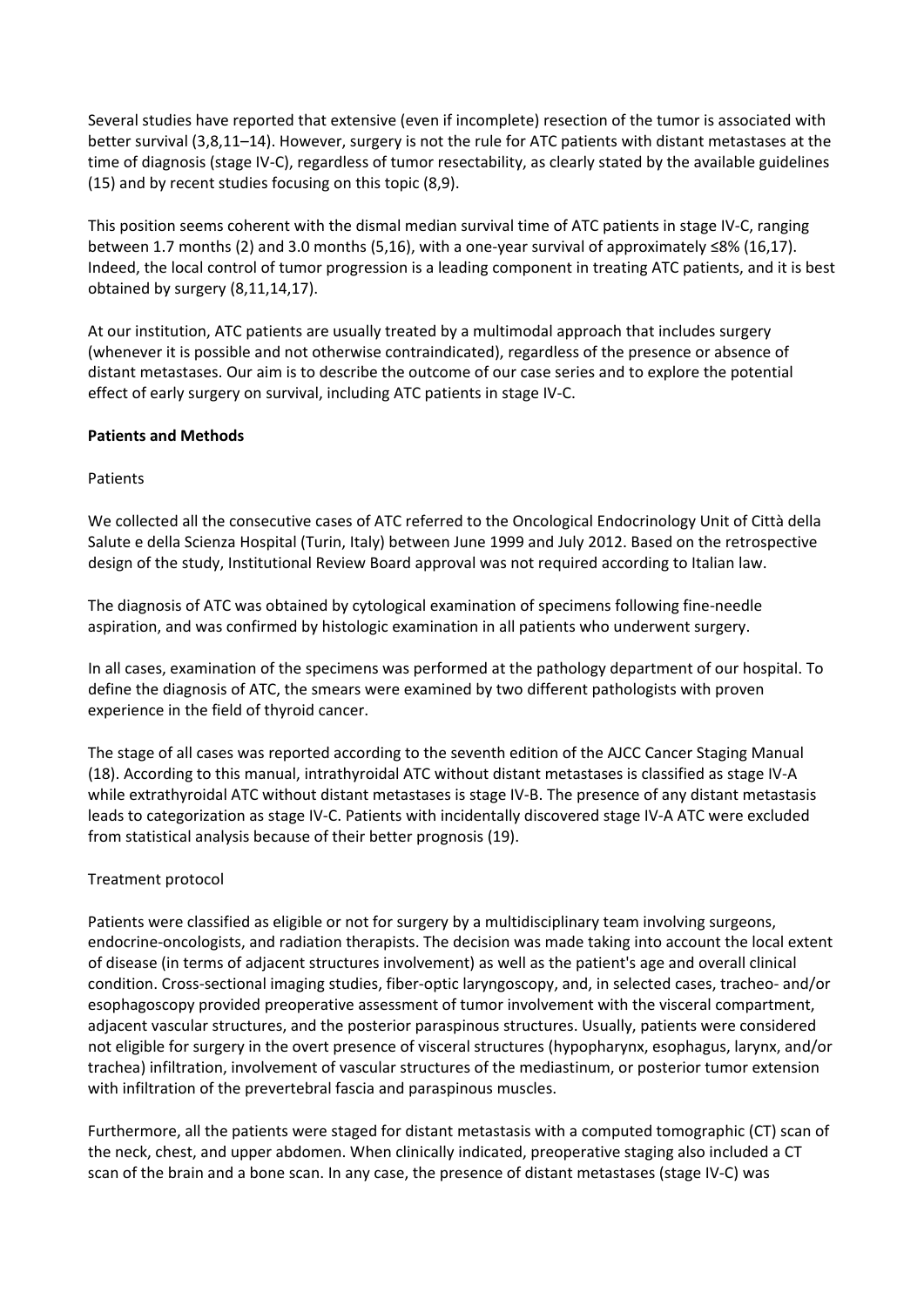Several studies have reported that extensive (even if incomplete) resection of the tumor is associated with better survival (3,8,11–14). However, surgery is not the rule for ATC patients with distant metastases at the time of diagnosis (stage IV-C), regardless of tumor resectability, as clearly stated by the available guidelines (15) and by recent studies focusing on this topic (8,9).

This position seems coherent with the dismal median survival time of ATC patients in stage IV‐C, ranging between 1.7 months (2) and 3.0 months (5,16), with a one‐year survival of approximately ≤8% (16,17). Indeed, the local control of tumor progression is a leading component in treating ATC patients, and it is best obtained by surgery (8,11,14,17).

At our institution, ATC patients are usually treated by a multimodal approach that includes surgery (whenever it is possible and not otherwise contraindicated), regardless of the presence or absence of distant metastases. Our aim is to describe the outcome of our case series and to explore the potential effect of early surgery on survival, including ATC patients in stage IV‐C.

## **Patients and Methods**

## Patients

We collected all the consecutive cases of ATC referred to the Oncological Endocrinology Unit of Città della Salute e della Scienza Hospital (Turin, Italy) between June 1999 and July 2012. Based on the retrospective design of the study, Institutional Review Board approval was not required according to Italian law.

The diagnosis of ATC was obtained by cytological examination of specimens following fine‐needle aspiration, and was confirmed by histologic examination in all patients who underwent surgery.

In all cases, examination of the specimens was performed at the pathology department of our hospital. To define the diagnosis of ATC, the smears were examined by two different pathologists with proven experience in the field of thyroid cancer.

The stage of all cases was reported according to the seventh edition of the AJCC Cancer Staging Manual (18). According to this manual, intrathyroidal ATC without distant metastases is classified as stage IV‐A while extrathyroidal ATC without distant metastases is stage IV‐B. The presence of any distant metastasis leads to categorization as stage IV‐C. Patients with incidentally discovered stage IV‐A ATC were excluded from statistical analysis because of their better prognosis (19).

# Treatment protocol

Patients were classified as eligible or not for surgery by a multidisciplinary team involving surgeons, endocrine‐oncologists, and radiation therapists. The decision was made taking into account the local extent of disease (in terms of adjacent structures involvement) as well as the patient's age and overall clinical condition. Cross‐sectional imaging studies, fiber‐optic laryngoscopy, and, in selected cases, tracheo‐ and/or esophagoscopy provided preoperative assessment of tumor involvement with the visceral compartment, adjacent vascular structures, and the posterior paraspinous structures. Usually, patients were considered not eligible for surgery in the overt presence of visceral structures (hypopharynx, esophagus, larynx, and/or trachea) infiltration, involvement of vascular structures of the mediastinum, or posterior tumor extension with infiltration of the prevertebral fascia and paraspinous muscles.

Furthermore, all the patients were staged for distant metastasis with a computed tomographic (CT) scan of the neck, chest, and upper abdomen. When clinically indicated, preoperative staging also included a CT scan of the brain and a bone scan. In any case, the presence of distant metastases (stage IV‐C) was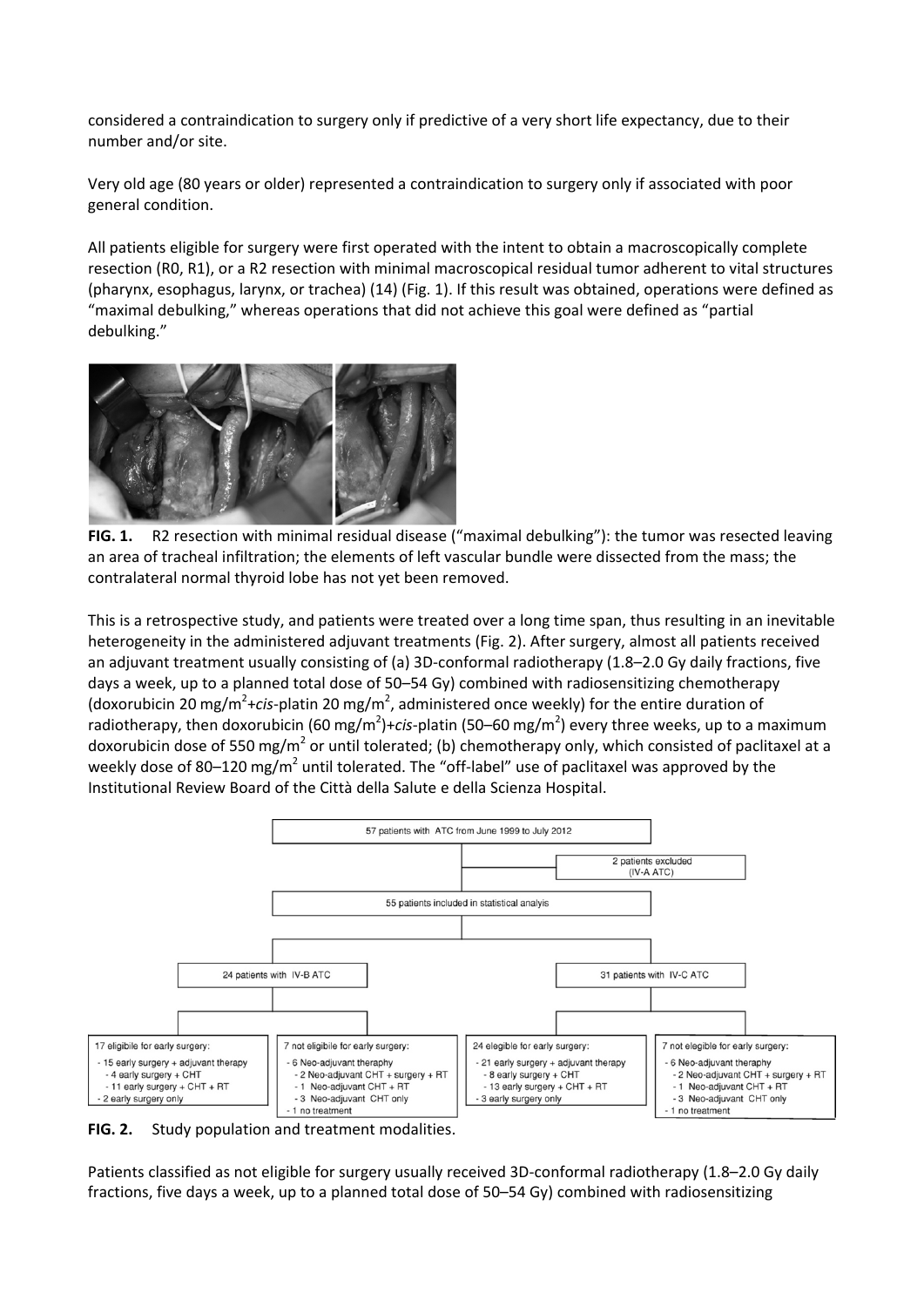considered a contraindication to surgery only if predictive of a very short life expectancy, due to their number and/or site.

Very old age (80 years or older) represented a contraindication to surgery only if associated with poor general condition.

All patients eligible for surgery were first operated with the intent to obtain a macroscopically complete resection (R0, R1), or a R2 resection with minimal macroscopical residual tumor adherent to vital structures (pharynx, esophagus, larynx, or trachea) (14) (Fig. 1). If this result was obtained, operations were defined as "maximal debulking," whereas operations that did not achieve this goal were defined as "partial debulking."



**FIG. 1.** R2 resection with minimal residual disease ("maximal debulking"): the tumor was resected leaving an area of tracheal infiltration; the elements of left vascular bundle were dissected from the mass; the contralateral normal thyroid lobe has not yet been removed.

This is a retrospective study, and patients were treated over a long time span, thus resulting in an inevitable heterogeneity in the administered adjuvant treatments (Fig. 2). After surgery, almost all patients received an adjuvant treatment usually consisting of (a) 3D-conformal radiotherapy (1.8–2.0 Gy daily fractions, five days a week, up to a planned total dose of 50–54 Gy) combined with radiosensitizing chemotherapy (doxorubicin 20 mg/m<sup>2</sup>+cis-platin 20 mg/m<sup>2</sup>, administered once weekly) for the entire duration of radiotherapy, then doxorubicin (60 mg/m<sup>2</sup>)+cis-platin (50–60 mg/m<sup>2</sup>) every three weeks, up to a maximum doxorubicin dose of 550 mg/m<sup>2</sup> or until tolerated; (b) chemotherapy only, which consisted of paclitaxel at a weekly dose of 80–120 mg/m<sup>2</sup> until tolerated. The "off-label" use of paclitaxel was approved by the Institutional Review Board of the Città della Salute e della Scienza Hospital.



**FIG. 2.** Study population and treatment modalities.

Patients classified as not eligible for surgery usually received 3D‐conformal radiotherapy (1.8–2.0 Gy daily fractions, five days a week, up to a planned total dose of 50–54 Gy) combined with radiosensitizing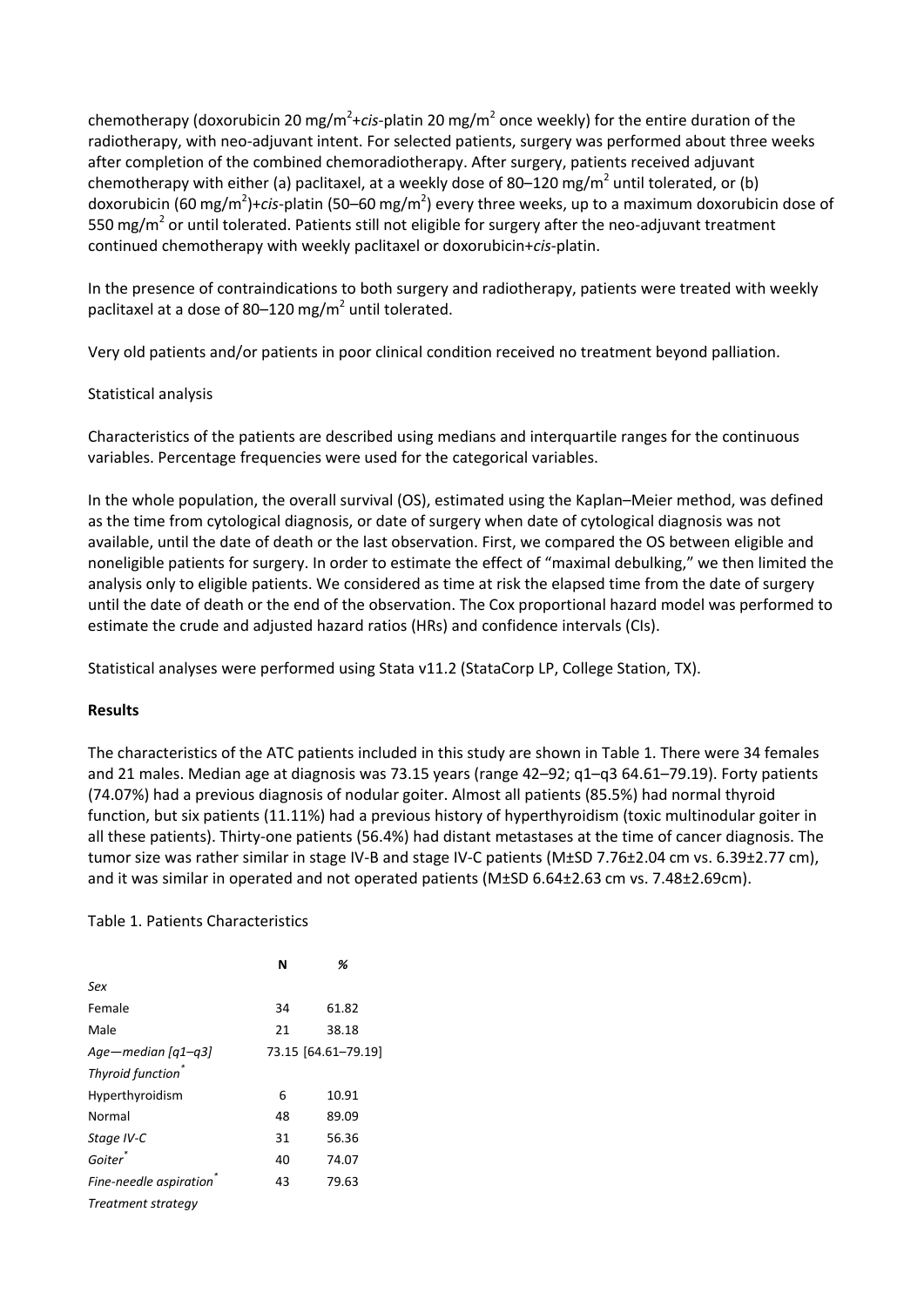chemotherapy (doxorubicin 20 mg/m<sup>2</sup>+c*is*-platin 20 mg/m<sup>2</sup> once weekly) for the entire duration of the radiotherapy, with neo-adjuvant intent. For selected patients, surgery was performed about three weeks after completion of the combined chemoradiotherapy. After surgery, patients received adjuvant chemotherapy with either (a) paclitaxel, at a weekly dose of 80–120 mg/m<sup>2</sup> until tolerated, or (b) doxorubicin (60 mg/m<sup>2</sup>)+*cis-*platin (50–60 mg/m<sup>2</sup>) every three weeks, up to a maximum doxorubicin dose of 550 mg/m<sup>2</sup> or until tolerated. Patients still not eligible for surgery after the neo-adjuvant treatment continued chemotherapy with weekly paclitaxel or doxorubicin+*cis*‐platin.

In the presence of contraindications to both surgery and radiotherapy, patients were treated with weekly paclitaxel at a dose of 80–120 mg/ $m<sup>2</sup>$  until tolerated.

Very old patients and/or patients in poor clinical condition received no treatment beyond palliation.

## Statistical analysis

Characteristics of the patients are described using medians and interquartile ranges for the continuous variables. Percentage frequencies were used for the categorical variables.

In the whole population, the overall survival (OS), estimated using the Kaplan–Meier method, was defined as the time from cytological diagnosis, or date of surgery when date of cytological diagnosis was not available, until the date of death or the last observation. First, we compared the OS between eligible and noneligible patients for surgery. In order to estimate the effect of "maximal debulking," we then limited the analysis only to eligible patients. We considered as time at risk the elapsed time from the date of surgery until the date of death or the end of the observation. The Cox proportional hazard model was performed to estimate the crude and adjusted hazard ratios (HRs) and confidence intervals (CIs).

Statistical analyses were performed using Stata v11.2 (StataCorp LP, College Station, TX).

## **Results**

The characteristics of the ATC patients included in this study are shown in Table 1. There were 34 females and 21 males. Median age at diagnosis was 73.15 years (range 42–92; q1–q3 64.61–79.19). Forty patients (74.07%) had a previous diagnosis of nodular goiter. Almost all patients (85.5%) had normal thyroid function, but six patients (11.11%) had a previous history of hyperthyroidism (toxic multinodular goiter in all these patients). Thirty-one patients (56.4%) had distant metastases at the time of cancer diagnosis. The tumor size was rather similar in stage IV-B and stage IV-C patients (M±SD 7.76±2.04 cm vs. 6.39±2.77 cm), and it was similar in operated and not operated patients (M±SD 6.64±2.63 cm vs. 7.48±2.69cm).

## Table 1. Patients Characteristics

|                               | N  | %                   |
|-------------------------------|----|---------------------|
| Sex                           |    |                     |
| Female                        | 34 | 61.82               |
| Male                          | 21 | 38.18               |
| Age – median $\sqrt{q_1-q_3}$ |    | 73.15 [64.61-79.19] |
| Thyroid function              |    |                     |
| Hyperthyroidism               | 6  | 10.91               |
| Normal                        | 48 | 89.09               |
| Stage IV-C                    | 31 | 56.36               |
| Goiter <sup>®</sup>           | 40 | 74.07               |
| Fine-needle aspiration        | 43 | 79.63               |
| Treatment strategy            |    |                     |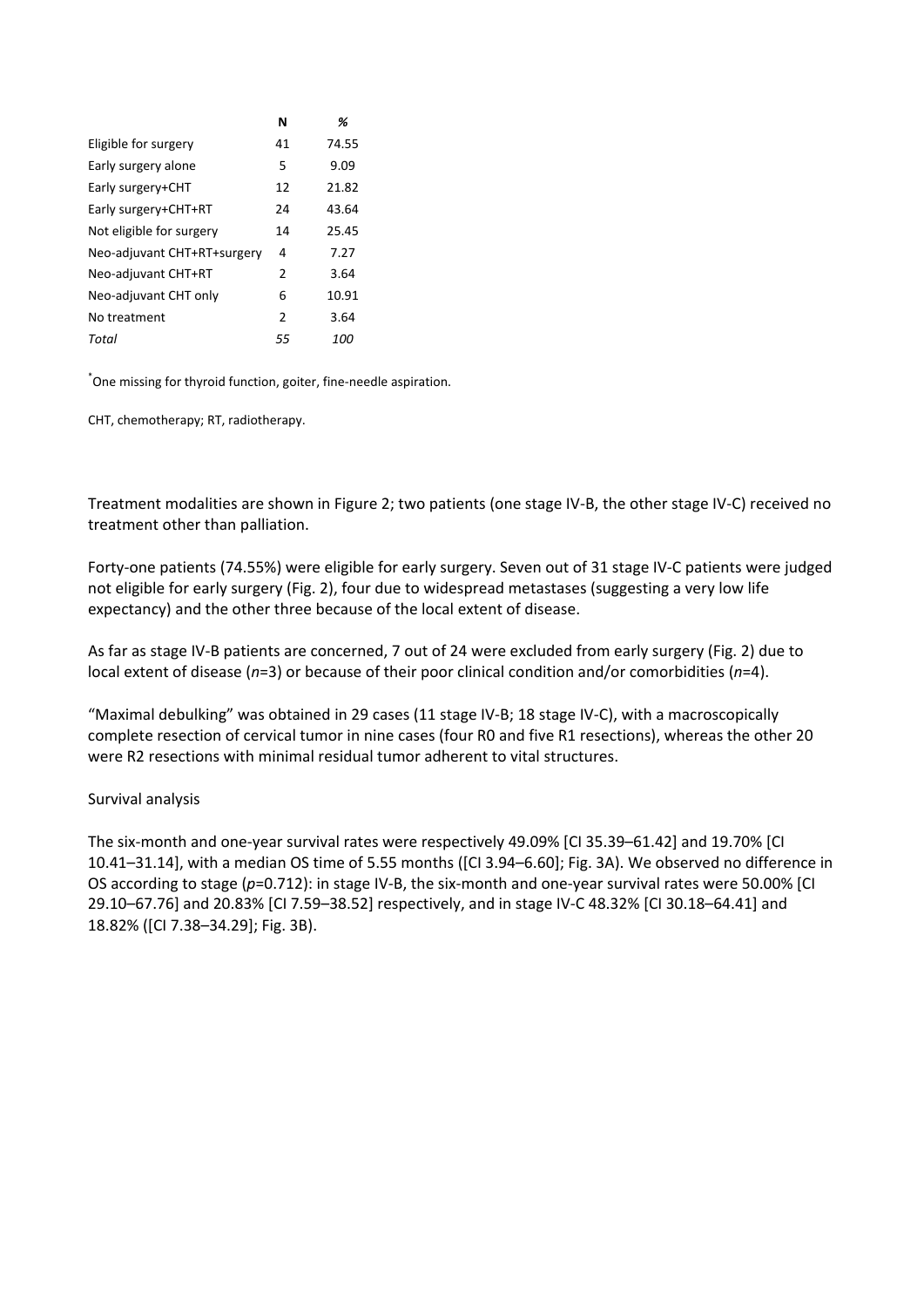|                             | N             | %     |
|-----------------------------|---------------|-------|
| Eligible for surgery        | 41            | 74.55 |
| Early surgery alone         | 5             | 9.09  |
| Early surgery+CHT           | 12            | 21.82 |
| Early surgery+CHT+RT        | 24            | 43.64 |
| Not eligible for surgery    | 14            | 25.45 |
| Neo-adjuvant CHT+RT+surgery | 4             | 7.27  |
| Neo-adjuvant CHT+RT         | 2             | 3.64  |
| Neo-adjuvant CHT only       | 6             | 10.91 |
| No treatment                | $\mathcal{P}$ | 3.64  |
| Total                       | 55            | 100   |

\* One missing for thyroid function, goiter, fine‐needle aspiration.

CHT, chemotherapy; RT, radiotherapy.

Treatment modalities are shown in Figure 2; two patients (one stage IV‐B, the other stage IV‐C) received no treatment other than palliation.

Forty‐one patients (74.55%) were eligible for early surgery. Seven out of 31 stage IV‐C patients were judged not eligible for early surgery (Fig. 2), four due to widespread metastases (suggesting a very low life expectancy) and the other three because of the local extent of disease.

As far as stage IV‐B patients are concerned, 7 out of 24 were excluded from early surgery (Fig. 2) due to local extent of disease (*n*=3) or because of their poor clinical condition and/or comorbidities (*n*=4).

"Maximal debulking" was obtained in 29 cases (11 stage IV‐B; 18 stage IV‐C), with a macroscopically complete resection of cervical tumor in nine cases (four R0 and five R1 resections), whereas the other 20 were R2 resections with minimal residual tumor adherent to vital structures.

## Survival analysis

The six‐month and one‐year survival rates were respectively 49.09% [CI 35.39–61.42] and 19.70% [CI 10.41–31.14], with a median OS time of 5.55 months ([CI 3.94–6.60]; Fig. 3A). We observed no difference in OS according to stage (*p*=0.712): in stage IV‐B, the six‐month and one‐year survival rates were 50.00% [CI 29.10–67.76] and 20.83% [CI 7.59–38.52] respectively, and in stage IV‐C 48.32% [CI 30.18–64.41] and 18.82% ([CI 7.38–34.29]; Fig. 3B).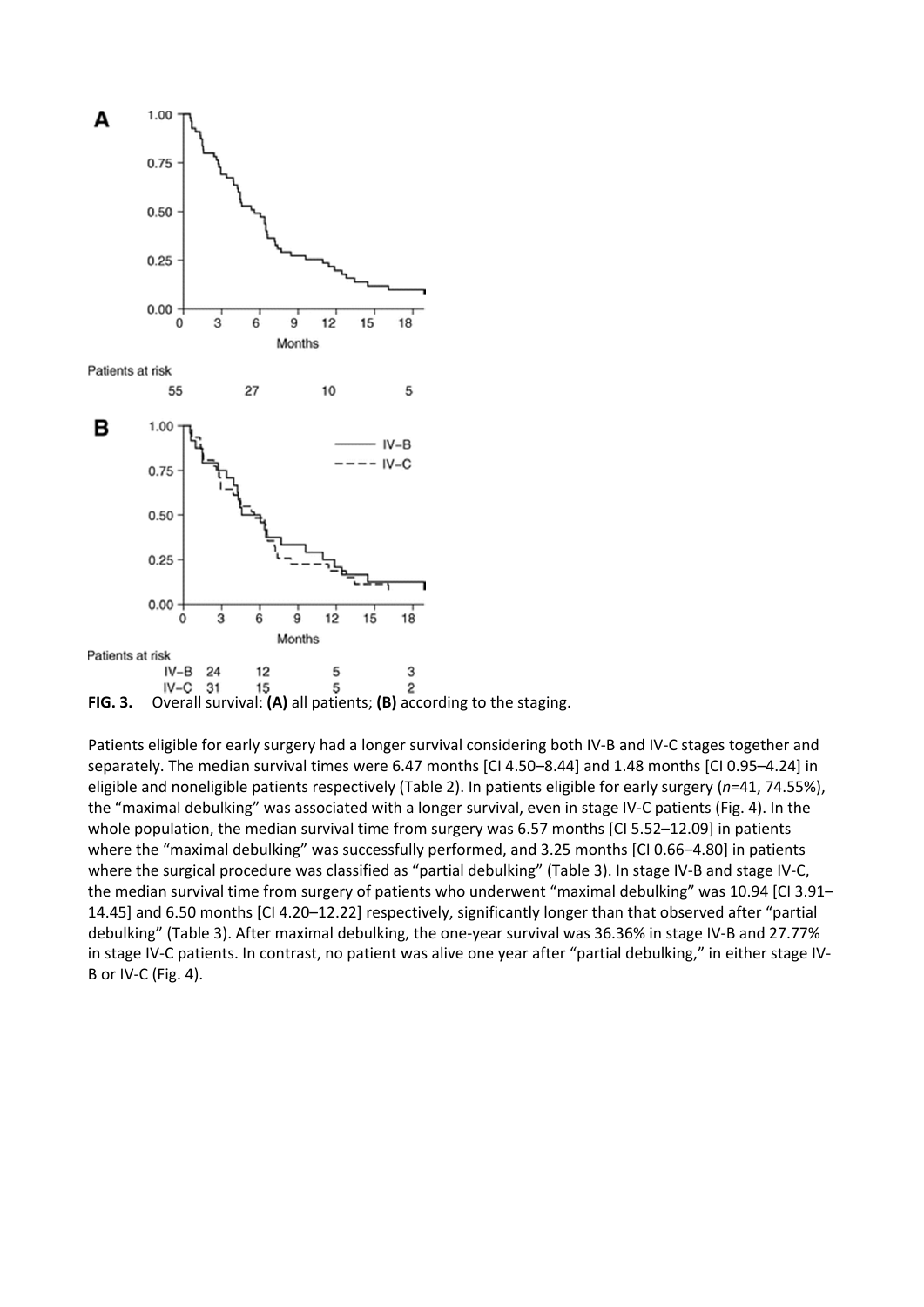

Patients eligible for early surgery had a longer survival considering both IV‐B and IV‐C stages together and separately. The median survival times were 6.47 months [CI 4.50–8.44] and 1.48 months [CI 0.95–4.24] in eligible and noneligible patients respectively (Table 2). In patients eligible for early surgery (*n*=41, 74.55%), the "maximal debulking" was associated with a longer survival, even in stage IV‐C patients (Fig. 4). In the whole population, the median survival time from surgery was 6.57 months [CI 5.52-12.09] in patients where the "maximal debulking" was successfully performed, and 3.25 months [CI 0.66-4.80] in patients where the surgical procedure was classified as "partial debulking" (Table 3). In stage IV-B and stage IV-C, the median survival time from surgery of patients who underwent "maximal debulking" was 10.94 [CI 3.91– 14.45] and 6.50 months [CI 4.20–12.22] respectively, significantly longer than that observed after "partial debulking" (Table 3). After maximal debulking, the one‐year survival was 36.36% in stage IV‐B and 27.77% in stage IV‐C patients. In contrast, no patient was alive one year after "partial debulking," in either stage IV‐ B or IV‐C (Fig. 4).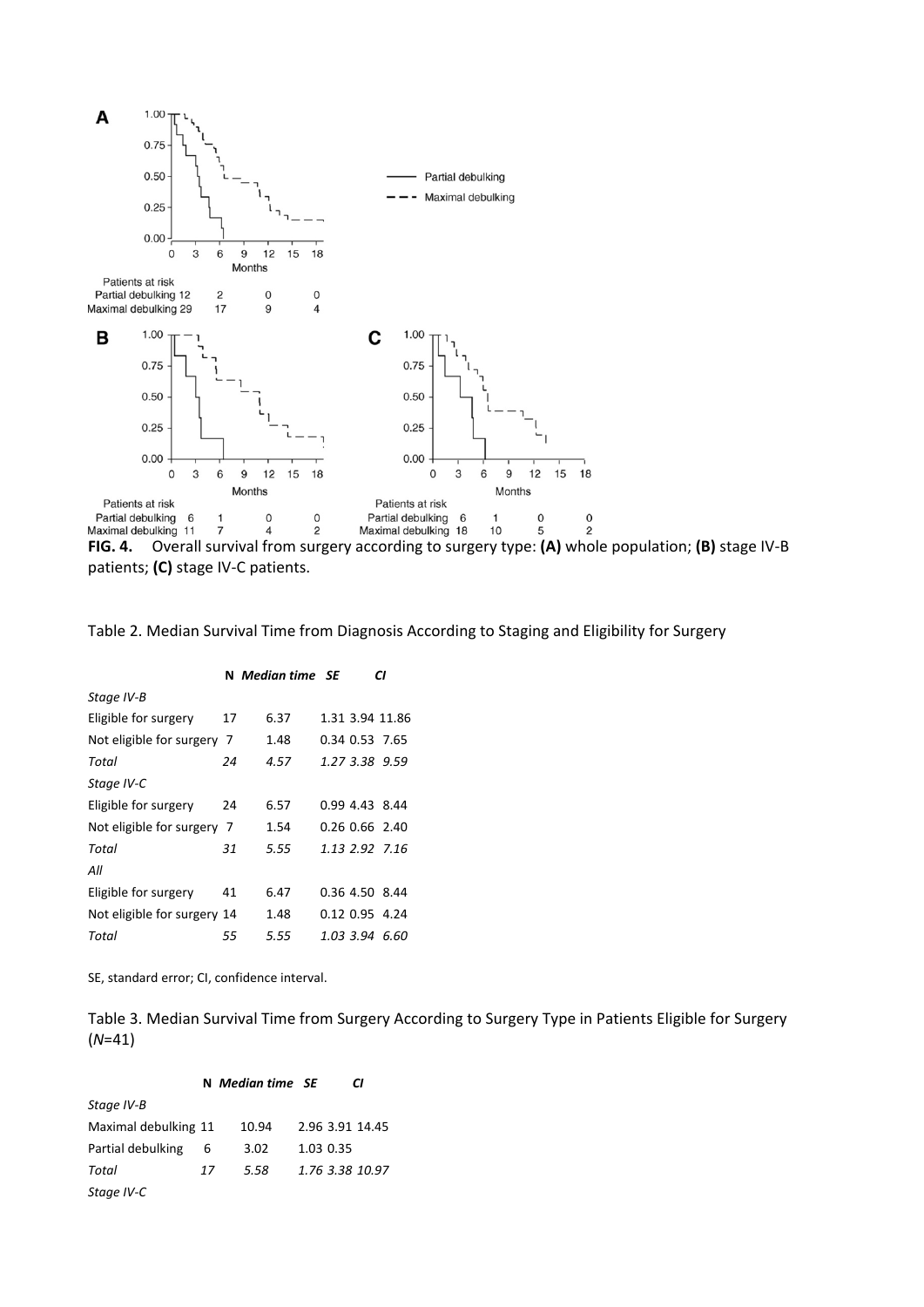

**FIG. 4.** Overall survival from surgery according to surgery type: **(A)** whole population; **(B)** stage IV‐B patients; **(C)** stage IV‐C patients.

Table 2. Median Survival Time from Diagnosis According to Staging and Eligibility for Surgery

|                             |    | N Median time SE |  | СI              |
|-----------------------------|----|------------------|--|-----------------|
| Stage IV-B                  |    |                  |  |                 |
| Eligible for surgery        | 17 | 6.37             |  | 1.31 3.94 11.86 |
| Not eligible for surgery 7  |    | 1.48             |  | 0.34 0.53 7.65  |
| Total                       | 24 | 4.57             |  | 1.27 3.38 9.59  |
| Stage IV-C                  |    |                  |  |                 |
| Eligible for surgery        | 24 | 6.57             |  | 0.99 4.43 8.44  |
| Not eligible for surgery 7  |    | 1.54             |  | 0.26 0.66 2.40  |
| Total                       | 31 | 5.55             |  | 1.13 2.92 7.16  |
| All                         |    |                  |  |                 |
| Eligible for surgery        | 41 | 6.47             |  | 0.36 4.50 8.44  |
| Not eligible for surgery 14 |    | 1.48             |  | 0.12 0.95 4.24  |
| Total                       | 55 | 5.55             |  | 1.03 3.94 6.60  |
|                             |    |                  |  |                 |

SE, standard error; CI, confidence interval.

Table 3. Median Survival Time from Surgery According to Surgery Type in Patients Eligible for Surgery (*N*=41)

|  | N Median time SE |  |  | CI |
|--|------------------|--|--|----|
|--|------------------|--|--|----|

| Stage IV-B           |    |       |                 |
|----------------------|----|-------|-----------------|
| Maximal debulking 11 |    | 10.94 | 2.96 3.91 14.45 |
| Partial debulking    | -6 | 3.02  | 1.03 0.35       |
| Total                | 17 | 5.58  | 1.76 3.38 10.97 |
| Stage IV-C           |    |       |                 |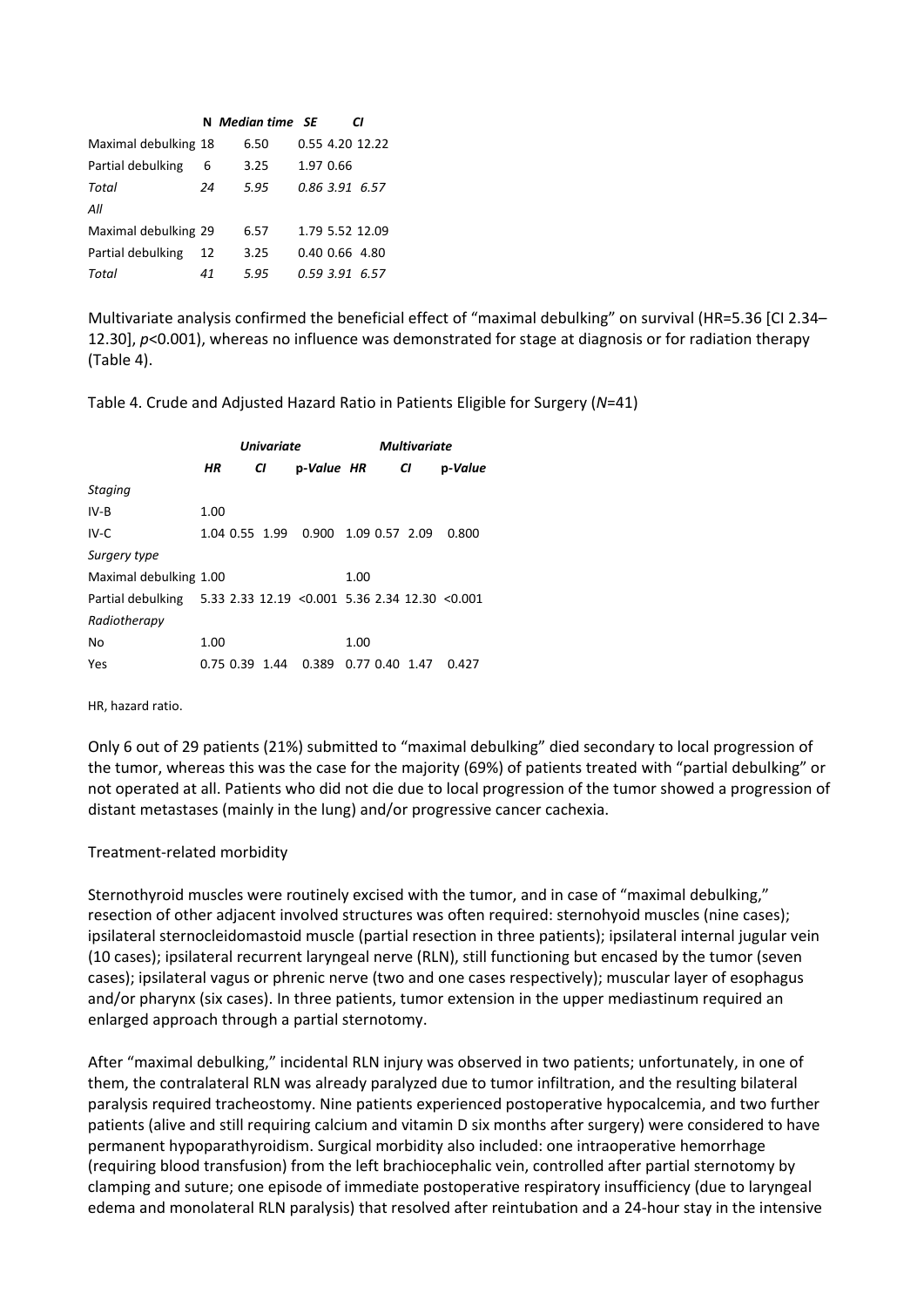|                      |      | CI               |                                                                                                             |
|----------------------|------|------------------|-------------------------------------------------------------------------------------------------------------|
| Maximal debulking 18 | 6.50 |                  |                                                                                                             |
| 6                    | 3.25 |                  |                                                                                                             |
| 24                   | 5.95 |                  |                                                                                                             |
|                      |      |                  |                                                                                                             |
| Maximal debulking 29 | 6.57 |                  |                                                                                                             |
| 12                   | 3.25 |                  |                                                                                                             |
| 41                   | 5.95 |                  |                                                                                                             |
|                      |      | N Median time SE | 0.55 4.20 12.22<br>1.97 0.66<br>0.86 3.91 6.57<br>1.79 5.52 12.09<br>$0.40$ $0.66$ 4.80<br>$0.59$ 3.91 6.57 |

Multivariate analysis confirmed the beneficial effect of "maximal debulking" on survival (HR=5.36 [CI 2.34– 12.30], *p*<0.001), whereas no influence was demonstrated for stage at diagnosis or for radiation therapy (Table 4).

Table 4. Crude and Adjusted Hazard Ratio in Patients Eligible for Surgery (*N*=41)

|                                                                   | <b>Univariate</b> |  |                |                                     |      | <b>Multivariate</b> |                  |         |  |
|-------------------------------------------------------------------|-------------------|--|----------------|-------------------------------------|------|---------------------|------------------|---------|--|
|                                                                   | ΗR                |  | CI             | p-Value HR                          |      |                     | CI               | p-Value |  |
| <b>Staging</b>                                                    |                   |  |                |                                     |      |                     |                  |         |  |
| $IV-B$                                                            | 1.00              |  |                |                                     |      |                     |                  |         |  |
| IV-C                                                              |                   |  |                | 1.04 0.55 1.99 0.900 1.09 0.57 2.09 |      |                     |                  | 0.800   |  |
| Surgery type                                                      |                   |  |                |                                     |      |                     |                  |         |  |
| Maximal debulking 1.00                                            |                   |  |                |                                     | 1.00 |                     |                  |         |  |
| Partial debulking 5.33 2.33 12.19 < 0.001 5.36 2.34 12.30 < 0.001 |                   |  |                |                                     |      |                     |                  |         |  |
| Radiotherapy                                                      |                   |  |                |                                     |      |                     |                  |         |  |
| No                                                                | 1.00              |  |                |                                     | 1.00 |                     |                  |         |  |
| Yes                                                               |                   |  | 0.75 0.39 1.44 | 0.389                               |      |                     | $0.77$ 0.40 1.47 | 0.427   |  |

HR, hazard ratio.

Only 6 out of 29 patients (21%) submitted to "maximal debulking" died secondary to local progression of the tumor, whereas this was the case for the majority (69%) of patients treated with "partial debulking" or not operated at all. Patients who did not die due to local progression of the tumor showed a progression of distant metastases (mainly in the lung) and/or progressive cancer cachexia.

#### Treatment‐related morbidity

Sternothyroid muscles were routinely excised with the tumor, and in case of "maximal debulking," resection of other adjacent involved structures was often required: sternohyoid muscles (nine cases); ipsilateral sternocleidomastoid muscle (partial resection in three patients); ipsilateral internal jugular vein (10 cases); ipsilateral recurrent laryngeal nerve (RLN), still functioning but encased by the tumor (seven cases); ipsilateral vagus or phrenic nerve (two and one cases respectively); muscular layer of esophagus and/or pharynx (six cases). In three patients, tumor extension in the upper mediastinum required an enlarged approach through a partial sternotomy.

After "maximal debulking," incidental RLN injury was observed in two patients; unfortunately, in one of them, the contralateral RLN was already paralyzed due to tumor infiltration, and the resulting bilateral paralysis required tracheostomy. Nine patients experienced postoperative hypocalcemia, and two further patients (alive and still requiring calcium and vitamin D six months after surgery) were considered to have permanent hypoparathyroidism. Surgical morbidity also included: one intraoperative hemorrhage (requiring blood transfusion) from the left brachiocephalic vein, controlled after partial sternotomy by clamping and suture; one episode of immediate postoperative respiratory insufficiency (due to laryngeal edema and monolateral RLN paralysis) that resolved after reintubation and a 24‐hour stay in the intensive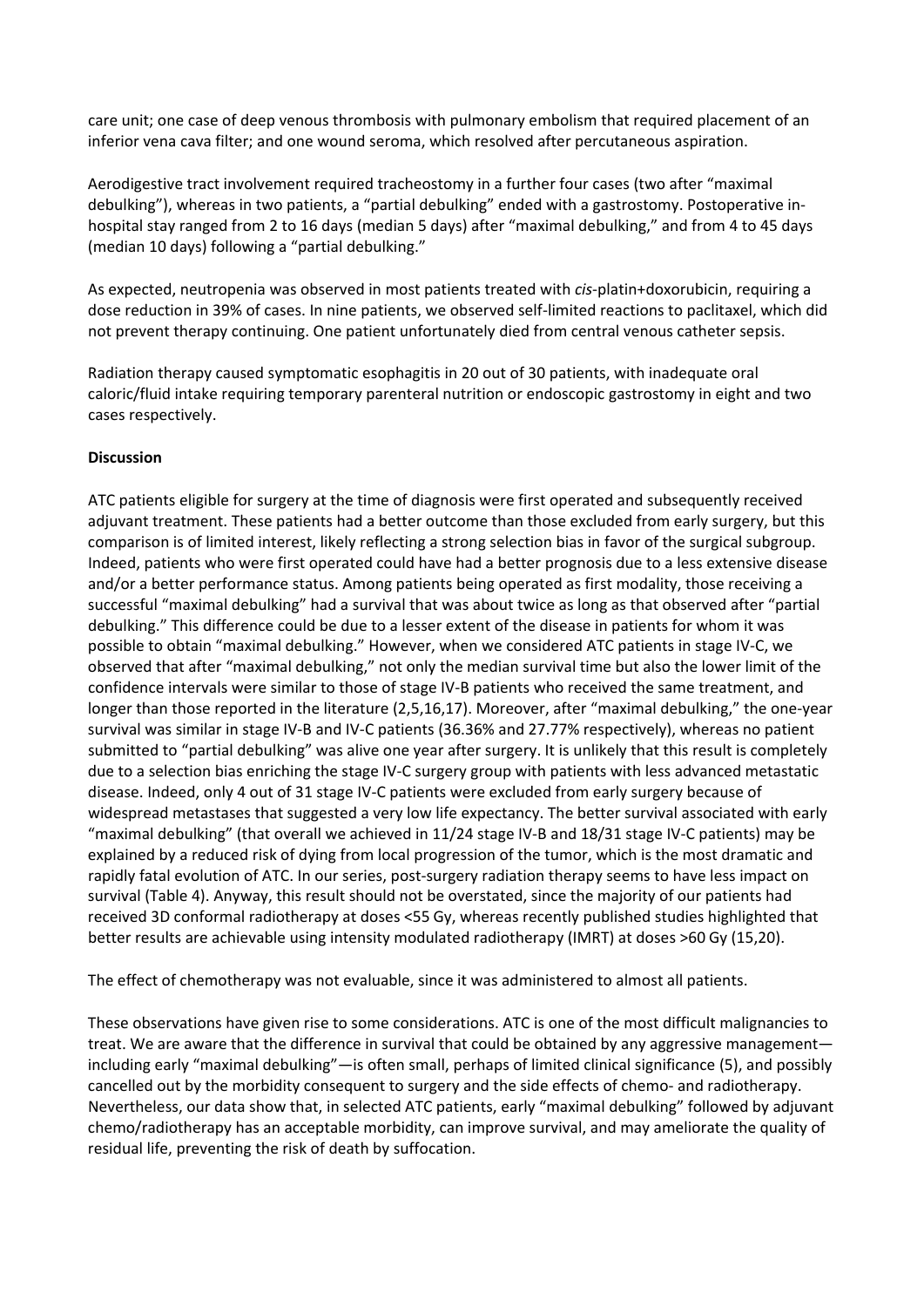care unit; one case of deep venous thrombosis with pulmonary embolism that required placement of an inferior vena cava filter; and one wound seroma, which resolved after percutaneous aspiration.

Aerodigestive tract involvement required tracheostomy in a further four cases (two after "maximal debulking"), whereas in two patients, a "partial debulking" ended with a gastrostomy. Postoperative in‐ hospital stay ranged from 2 to 16 days (median 5 days) after "maximal debulking," and from 4 to 45 days (median 10 days) following a "partial debulking."

As expected, neutropenia was observed in most patients treated with *cis*‐platin+doxorubicin, requiring a dose reduction in 39% of cases. In nine patients, we observed self‐limited reactions to paclitaxel, which did not prevent therapy continuing. One patient unfortunately died from central venous catheter sepsis.

Radiation therapy caused symptomatic esophagitis in 20 out of 30 patients, with inadequate oral caloric/fluid intake requiring temporary parenteral nutrition or endoscopic gastrostomy in eight and two cases respectively.

## **Discussion**

ATC patients eligible for surgery at the time of diagnosis were first operated and subsequently received adjuvant treatment. These patients had a better outcome than those excluded from early surgery, but this comparison is of limited interest, likely reflecting a strong selection bias in favor of the surgical subgroup. Indeed, patients who were first operated could have had a better prognosis due to a less extensive disease and/or a better performance status. Among patients being operated as first modality, those receiving a successful "maximal debulking" had a survival that was about twice as long as that observed after "partial debulking." This difference could be due to a lesser extent of the disease in patients for whom it was possible to obtain "maximal debulking." However, when we considered ATC patients in stage IV‐C, we observed that after "maximal debulking," not only the median survival time but also the lower limit of the confidence intervals were similar to those of stage IV‐B patients who received the same treatment, and longer than those reported in the literature (2,5,16,17). Moreover, after "maximal debulking," the one‐year survival was similar in stage IV‐B and IV‐C patients (36.36% and 27.77% respectively), whereas no patient submitted to "partial debulking" was alive one year after surgery. It is unlikely that this result is completely due to a selection bias enriching the stage IV‐C surgery group with patients with less advanced metastatic disease. Indeed, only 4 out of 31 stage IV‐C patients were excluded from early surgery because of widespread metastases that suggested a very low life expectancy. The better survival associated with early "maximal debulking" (that overall we achieved in 11/24 stage IV‐B and 18/31 stage IV‐C patients) may be explained by a reduced risk of dying from local progression of the tumor, which is the most dramatic and rapidly fatal evolution of ATC. In our series, post-surgery radiation therapy seems to have less impact on survival (Table 4). Anyway, this result should not be overstated, since the majority of our patients had received 3D conformal radiotherapy at doses <55 Gy, whereas recently published studies highlighted that better results are achievable using intensity modulated radiotherapy (IMRT) at doses >60 Gy (15,20).

The effect of chemotherapy was not evaluable, since it was administered to almost all patients.

These observations have given rise to some considerations. ATC is one of the most difficult malignancies to treat. We are aware that the difference in survival that could be obtained by any aggressive management including early "maximal debulking"—is often small, perhaps of limited clinical significance (5), and possibly cancelled out by the morbidity consequent to surgery and the side effects of chemo‐ and radiotherapy. Nevertheless, our data show that, in selected ATC patients, early "maximal debulking" followed by adjuvant chemo/radiotherapy has an acceptable morbidity, can improve survival, and may ameliorate the quality of residual life, preventing the risk of death by suffocation.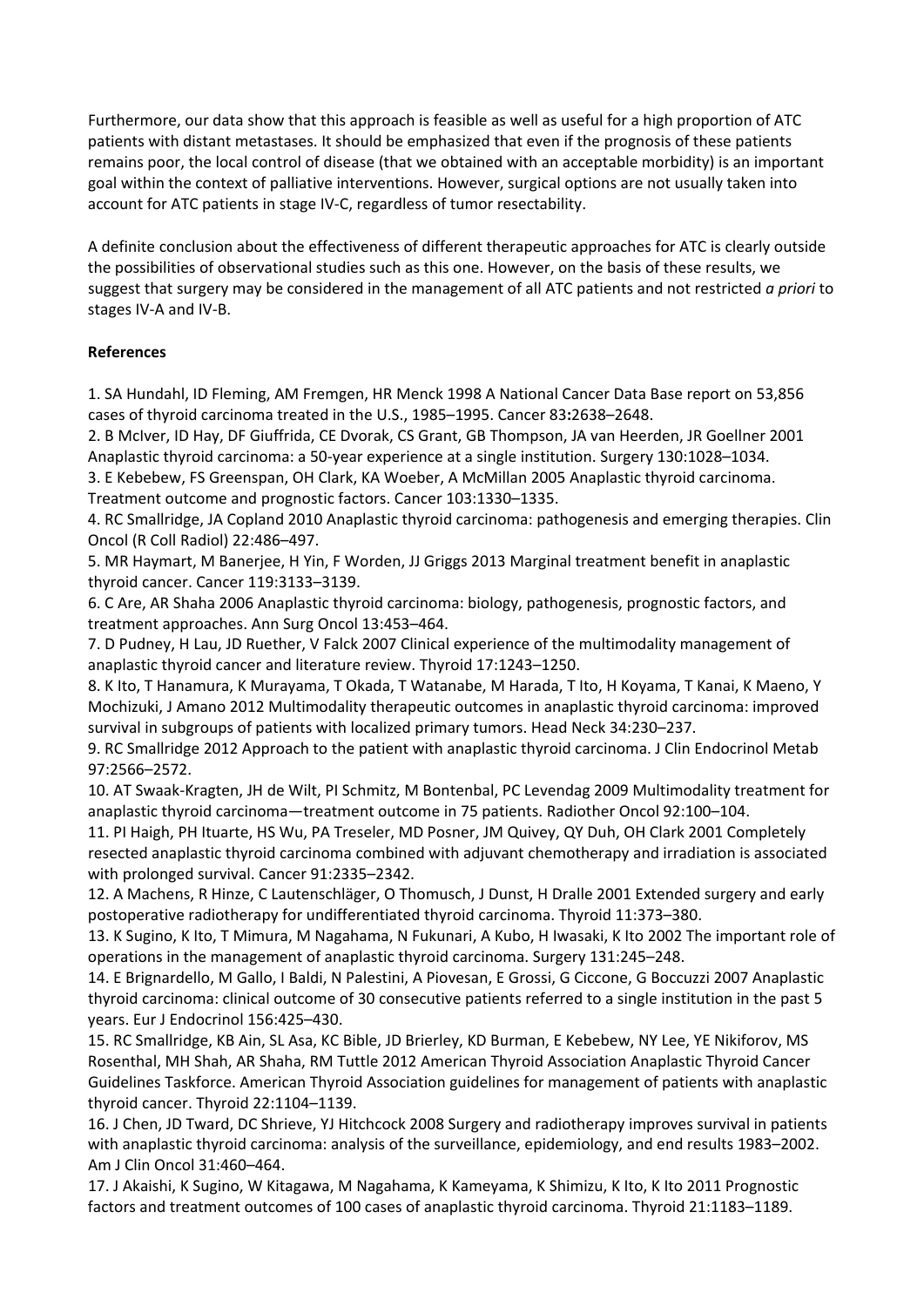Furthermore, our data show that this approach is feasible as well as useful for a high proportion of ATC patients with distant metastases. It should be emphasized that even if the prognosis of these patients remains poor, the local control of disease (that we obtained with an acceptable morbidity) is an important goal within the context of palliative interventions. However, surgical options are not usually taken into account for ATC patients in stage IV‐C, regardless of tumor resectability.

A definite conclusion about the effectiveness of different therapeutic approaches for ATC is clearly outside the possibilities of observational studies such as this one. However, on the basis of these results, we suggest that surgery may be considered in the management of all ATC patients and not restricted *a priori* to stages IV‐A and IV‐B.

## **References**

1. SA Hundahl, ID Fleming, AM Fremgen, HR Menck 1998 A National Cancer Data Base report on 53,856 cases of thyroid carcinoma treated in the U.S., 1985–1995. Cancer 83**:**2638–2648.

2. B McIver, ID Hay, DF Giuffrida, CE Dvorak, CS Grant, GB Thompson, JA van Heerden, JR Goellner 2001 Anaplastic thyroid carcinoma: a 50‐year experience at a single institution. Surgery 130:1028–1034.

3. E Kebebew, FS Greenspan, OH Clark, KA Woeber, A McMillan 2005 Anaplastic thyroid carcinoma. Treatment outcome and prognostic factors. Cancer 103:1330–1335.

4. RC Smallridge, JA Copland 2010 Anaplastic thyroid carcinoma: pathogenesis and emerging therapies. Clin Oncol (R Coll Radiol) 22:486–497.

5. MR Haymart, M Banerjee, H Yin, F Worden, JJ Griggs 2013 Marginal treatment benefit in anaplastic thyroid cancer. Cancer 119:3133–3139.

6. C Are, AR Shaha 2006 Anaplastic thyroid carcinoma: biology, pathogenesis, prognostic factors, and treatment approaches. Ann Surg Oncol 13:453–464.

7. D Pudney, H Lau, JD Ruether, V Falck 2007 Clinical experience of the multimodality management of anaplastic thyroid cancer and literature review. Thyroid 17:1243–1250.

8. K Ito, T Hanamura, K Murayama, T Okada, T Watanabe, M Harada, T Ito, H Koyama, T Kanai, K Maeno, Y Mochizuki, J Amano 2012 Multimodality therapeutic outcomes in anaplastic thyroid carcinoma: improved survival in subgroups of patients with localized primary tumors. Head Neck 34:230–237.

9. RC Smallridge 2012 Approach to the patient with anaplastic thyroid carcinoma. J Clin Endocrinol Metab 97:2566–2572.

10. AT Swaak‐Kragten, JH de Wilt, PI Schmitz, M Bontenbal, PC Levendag 2009 Multimodality treatment for anaplastic thyroid carcinoma—treatment outcome in 75 patients. Radiother Oncol 92:100–104.

11. PI Haigh, PH Ituarte, HS Wu, PA Treseler, MD Posner, JM Quivey, QY Duh, OH Clark 2001 Completely resected anaplastic thyroid carcinoma combined with adjuvant chemotherapy and irradiation is associated with prolonged survival. Cancer 91:2335–2342.

12. A Machens, R Hinze, C Lautenschläger, O Thomusch, J Dunst, H Dralle 2001 Extended surgery and early postoperative radiotherapy for undifferentiated thyroid carcinoma. Thyroid 11:373–380.

13. K Sugino, K Ito, T Mimura, M Nagahama, N Fukunari, A Kubo, H Iwasaki, K Ito 2002 The important role of operations in the management of anaplastic thyroid carcinoma. Surgery 131:245–248.

14. E Brignardello, M Gallo, I Baldi, N Palestini, A Piovesan, E Grossi, G Ciccone, G Boccuzzi 2007 Anaplastic thyroid carcinoma: clinical outcome of 30 consecutive patients referred to a single institution in the past 5 years. Eur J Endocrinol 156:425–430.

15. RC Smallridge, KB Ain, SL Asa, KC Bible, JD Brierley, KD Burman, E Kebebew, NY Lee, YE Nikiforov, MS Rosenthal, MH Shah, AR Shaha, RM Tuttle 2012 American Thyroid Association Anaplastic Thyroid Cancer Guidelines Taskforce. American Thyroid Association guidelines for management of patients with anaplastic thyroid cancer. Thyroid 22:1104–1139.

16. J Chen, JD Tward, DC Shrieve, YJ Hitchcock 2008 Surgery and radiotherapy improves survival in patients with anaplastic thyroid carcinoma: analysis of the surveillance, epidemiology, and end results 1983–2002. Am J Clin Oncol 31:460–464.

17. J Akaishi, K Sugino, W Kitagawa, M Nagahama, K Kameyama, K Shimizu, K Ito, K Ito 2011 Prognostic factors and treatment outcomes of 100 cases of anaplastic thyroid carcinoma. Thyroid 21:1183–1189.